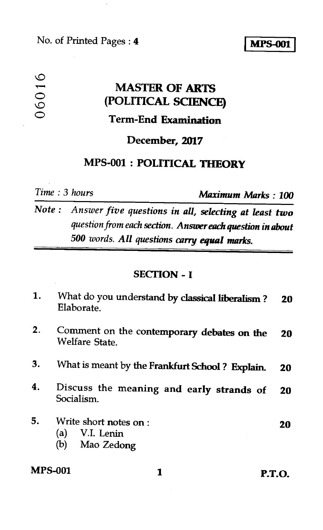#### No. of Printed Pages : **I MPS-001 4**

# **MASTER OF ARTS (POLITICAL SCIENCE)**  O<br> **MASTER OF ARTS**<br>
(POLITICAL SCIENCE<br>
Term-End Examination

#### **December, 2017**

#### **MPS-001 : POLITICAL THEORY**

*Time : 3 hours Maximum Marks : 100* 

*Note : Answer five questions in all, selecting at least two question from each section. Answer each question in about 500 words. All questions carry equal marks.* 

#### **SECTION - I**

| 1. | What do you understand by classical liberalism?<br>Elaborate.    | 20 |
|----|------------------------------------------------------------------|----|
| 2. | Comment on the contemporary debates on the<br>Welfare State.     | 20 |
| 3. | What is meant by the Frankfurt School? Explain.                  | 20 |
| 4. | Discuss the meaning and early strands of<br>Socialism.           | 20 |
| 5. | Write short notes on :<br>V.I. Lenin<br>(a)<br>Mao Zedong<br>(b) | 20 |

### **MPS-001 1 P.T.O.**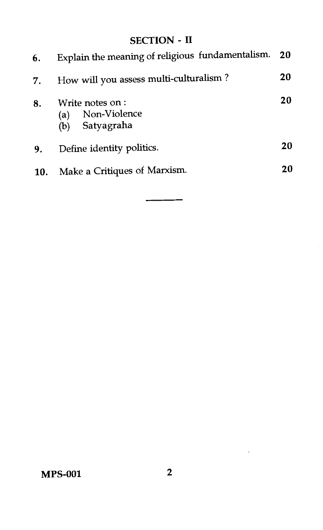#### SECTION - II

| 6.  | Explain the meaning of religious fundamentalism. 20         |    |
|-----|-------------------------------------------------------------|----|
| 7.  | How will you assess multi-culturalism?                      | 20 |
| 8.  | Write notes on:<br>Non-Violence<br>(a)<br>Satyagraha<br>(b) | 20 |
| 9.  | Define identity politics.                                   | 20 |
| 10. | Make a Critiques of Marxism.                                | 20 |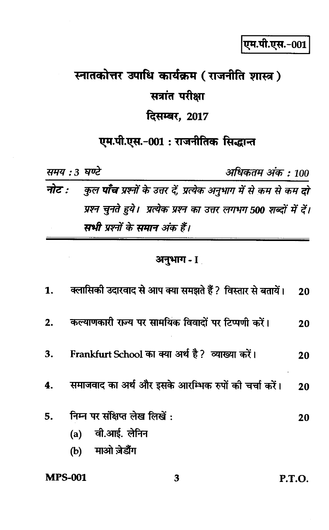# स्नातकोत्तर उपाधि कार्यक्रम (राजनीति शास्त्र) सत्रांत परीक्षा

# दिसम्बर, 2017

## एम.पी.एस.-001: राजनीतिक सिद्धान्त

| समय : 3 घण्टे |                                                                                        | अधिकतम अंक : 100 |
|---------------|----------------------------------------------------------------------------------------|------------------|
|               | <b>नोट :</b> कुल <b>पाँच</b> प्रश्नों के उत्तर दें, प्रत्येक अनुभाग में से कम से कम दो |                  |
|               | प्रश्न चुनते हुये। प्रत्येक प्रश्न का उत्तर लगभग 500 शब्दों में दें।                   |                  |
|               | सभी प्रश्नों के समान अंक हैं।                                                          |                  |

#### अनुभाग - I

| <b>MPS-001</b> | 3                                                          | P.T.O. |
|----------------|------------------------------------------------------------|--------|
|                | माओ जेडौंग<br>(b)                                          |        |
|                | (a) वी.आई. लेनिन                                           |        |
| 5.             | निम्न पर संक्षिप्त लेख लिखें:                              | 20     |
| 4.             | समाजवाद का अर्थ और इसके आरम्भिक रुपों की चर्चा करें।       | 20     |
| 3.             | Frankfurt School का क्या अर्थ है? व्याख्या करें।           | 20     |
| 2.             | कल्याणकारी राज्य पर सामयिक विवादों पर टिप्पणी करें।        | 20     |
| 1.             | क्लासिकी उदारवाद से आप क्या समझते हैं ? विस्तार से बतायें। | 20     |